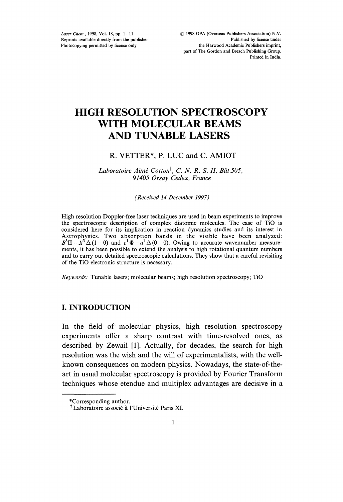Laser Chem., 1998, Vol. 18, pp. 1-11 Reprints available directly from the publisher Photocopying permitted by license only

# HIGH RESOLUTION SPECTROSCOPY WITH MOLECULAR BEAMS AND TUNABLE LASERS

### R. VETTER\*, P. LUC and C. AMIOT

Laboratoire Aimé Cotton<sup>†</sup>, C. N. R. S. II, Bât.505, 91405 Orsay Cedex, France

(Received 14 December 1997)

High resolution Doppler-free laser techniques are used in beam experiments to improve the spectroscopic description of complex diatomic molecules. The case of TiO is considered here for its implication in reaction dynamics studies and its interest in Astrophysics. Two absorption bands in the visible have been analyzed:  $B^3\Pi - X^3 \Delta (1-0)$  and  $c^1 \Phi - a^1 \Delta (0-0)$ . Owing to accurate wavenumber measurements, it has been possible to extend the analysis to high rotational quantum numbers and to carry out detailed spectroscopic calculations. They show that a careful revisiting of the TiO electronic structure is necessary.

Keywords: Tunable lasers; molecular beams; high resolution spectroscopy; TiO

### I. INTRODUCTION

In the field of molecular physics, high resolution spectroscopy experiments offer a sharp contrast with time-resolved ones, as described by Zewail [1]. Actually, for decades, the search for high resolution was the wish and the will of experimentalists, with the wellknown consequences on modern physics. Nowadays, the state-of-theart in usual molecular spectroscopy is provided by Fourier Transform techniques whose etendue and multiplex advantages are decisive in a

<sup>\*</sup>Corresponding author.

<sup>&</sup>lt;sup>†</sup> Laboratoire associé à l'Université Paris XI.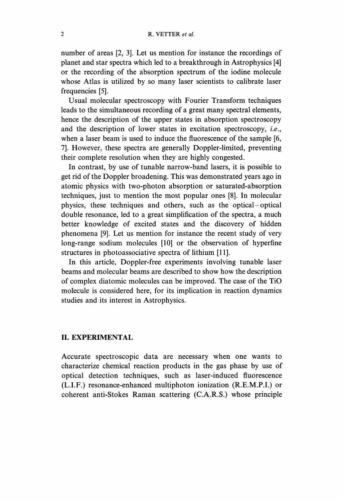number of areas [2, 3]. Let us mention for instance the recordings of planet and star spectra which led to a breakthrough in Astrophysics [4] or the recording of the absorption spectrum of the iodine molecule whose Atlas is utilized by so many laser scientists to calibrate laser frequencies [5].

Usual molecular spectroscopy with Fourier Transform techniques leads to the simultaneous recording of a great many spectral elements, hence the description of the upper states in absorption spectroscopy and the description of lower states in excitation spectroscopy, i.e., when a laser beam is used to induce the fluorescence of the sample [6, 7]. However, these spectra are generally Doppler-limited, preventing their complete resolution when they are highly congested.

In contrast, by use of tunable narrow-band lasers, it is possible to get rid of the Doppler broadening. This was demonstrated years ago in atomic physics with two-photon absorption or saturated-absorption techniques, just to mention the most popular ones [8]. In molecular physics, these techniques and others, such as the optical-optical double resonance, led to a great simplification of the spectra, a much better knowledge of excited states and the discovery of hidden phenomena [9]. Let us mention for instance the recent study of very long-range sodium molecules [10] or the observation of hyperfine structures in photoassociative spectra of lithium [11].

In this article, Doppler-free experiments involving tunable laser beams and molecular beams are described to show how the description of complex diatomic molecules can be improved. The case of the TiO molecule is considered here, for its implication in reaction dynamics studies and its interest in Astrophysics.

## II. EXPERIMENTAL

Accurate spectroscopic data are necessary when one wants to characterize chemical reaction products in the gas phase by use of optical detection techniques, such as laser-induced fluorescence (L.I.F.) resonance-enhanced multiphoton ionization (R.E.M.P.I.) or coherent anti-Stokes Raman scattering (C.A.R.S.) whose principle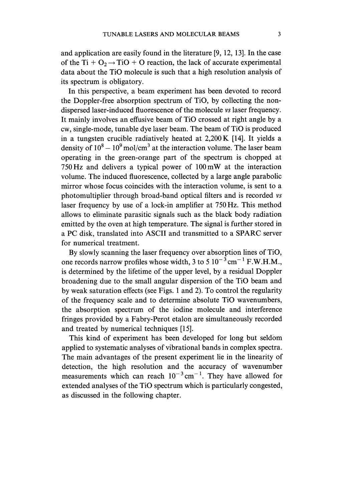its spectrum is obligatory. In this perspective, a beam experiment has been devoted to record the Doppler-free absorption spectrum of TiO, by collecting the nondispersed laser-induced fluorescence of the molecule vs laser frequency. It mainly involves an effusive beam of TiO crossed at right angle by a cw, single-mode, tunable dye laser beam. The beam of TiO is produced in <sup>a</sup> tungsten crucible radiatively heated at 2,200 K [14]. It yields <sup>a</sup> density of  $10^8 - 10^9$  mol/cm<sup>3</sup> at the interaction volume. The laser beam operating in the green-orange part of the spectrum is chopped at 750 Hz and delivers <sup>a</sup> typical power of 100mW at the interaction volume. The induced fluorescence, collected by a large angle parabolic mirror whose focus coincides with the interaction volume, is sent to a photomultiplier through broad-band optical filters and is recorded vs laser frequency by use of a lock-in amplifier at 750 Hz. This method allows to eliminate parasitic signals such as the black body radiation emitted by the oven at high temperature. The signal is further stored in <sup>a</sup> PC disk, translated into ASCII and transmitted to <sup>a</sup> SPARC server for numerical treatment.

By slowly scanning the laser frequency over absorption lines of TiO, one records narrow profiles whose width, 3 to 5  $10^{-3}$  cm<sup>-1</sup> F.W.H.M., is determined by the lifetime of the upper level, by a residual Doppler broadening due to the small angular dispersion of the TiO beam and by weak saturation effects (see Figs. 1 and 2). To control the regularity of the frequency scale and to determine absolute TiO wavenumbers, the absorption spectrum of the iodine molecule and interference fringes provided by a Fabry-Perot etalon are simultaneously recorded and treated by numerical techniques [15].

This kind of experiment has been developed for long but seldom applied to systematic analyses of vibrational bands in complex spectra. The main advantages of the present experiment lie in the linearity of detection, the high resolution and the accuracy of wavenumber measurements which can reach  $10^{-3}$  cm<sup>-1</sup>. They have allowed for extended analyses of the TiO spectrum which is particularly congested, as discussed in the following chapter.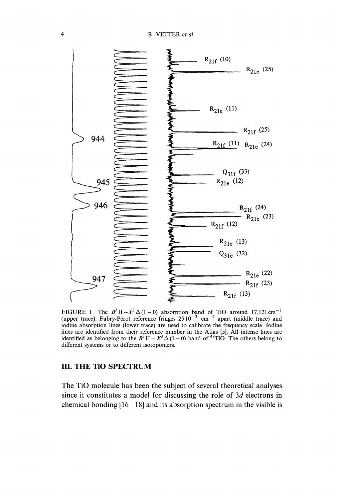

iodine absorption lines (lower trace) are used to calibrate the frequency scale. Iodine FIGURE (upper trace). The Fabry-Perot  $B^3\Pi-X^3\Delta(1-0)$ reference fringes absorption  $2510^{-3}$ band  $cm^{-1}$ of TiO apart around (middle 17,121cm trace) and lines are identified from their reference number in the Atlas [5]. All intense lines are identified as belonging to the  $B^3 \Pi - X^3 \Delta (1 - 0)$  band of <sup>48</sup>TiO. The others belong to different systems or to different isotopomers.

### III. THE TiO SPECTRUM

The TiO molecule has been the subject of several theoretical analyses since it constitutes a model for discussing the role of 3d electrons in chemical bonding  $[16-18]$  and its absorption spectrum in the visible is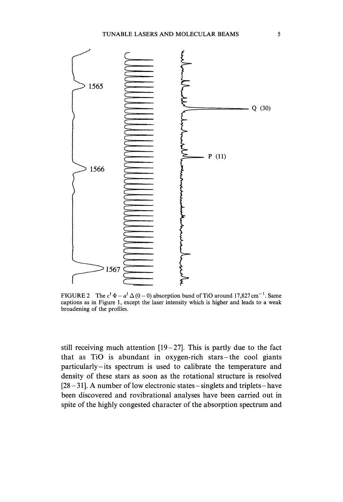

FIGURE 2 The  $c^1 \Phi - a^1 \Delta (0 - 0)$  absorption band of TiO around 17,827 cm<sup>-1</sup>. Same captions as in Figure 1, except the laser intensity which is higher and leads to a weak broadening of the profiles.

still receiving much attention  $[19-27]$ . This is partly due to the fact that as TiO is abundant in oxygen-rich stars-the cool giants particularly-its spectrum is used to calibrate the temperature and density of these stars as soon as the rotational structure is resolved  $[28 - 31]$ . A number of low electronic states-singlets and triplets-have been discovered and rovibrational analyses have been carried out in spite of the highly congested character of the absorption spectrum and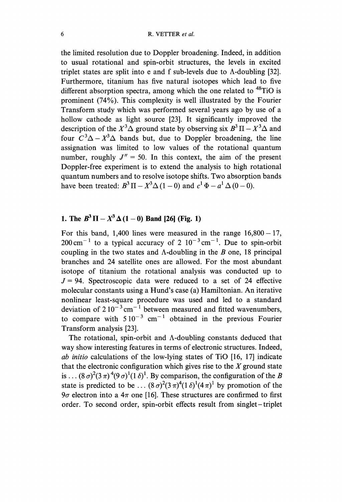the limited resolution due to Doppler broadening. Indeed, in addition to usual rotational and spin-orbit structures, the levels in excited triplet states are split into e and f sub-levels due to A-doubling [32]. Furthermore, titanium has five natural isotopes which lead to five different absorption spectra, among which the one related to <sup>48</sup>TiO is prominent (74%). This complexity is well illustrated by the Fourier Transform study which was performed several years ago by use of a hollow cathode as light source [23]. It significantly improved the description of the  $X^3\Delta$  ground state by observing six  $B^3\Pi - X^3\Delta$  and four  $C^3\Delta - X^3\Delta$  bands but, due to Doppler broadening, the line assignation was limited to low values of the rotational quantum number, roughly  $J'' = 50$ . In this context, the aim of the present Doppler-free experiment is to extend the analysis to high rotational quantum numbers and to resolve isotope shifts. Two absorption bands have been treated:  $B^3 \Pi - X^3 \Delta (1-0)$  and  $c^1 \Phi - a^1 \Delta (0-0)$ .

# 1. The  $B^3 \Pi - X^3 \Delta (1-0)$  Band [26] (Fig. 1)

For this band, 1,400 lines were measured in the range  $16,800-17$ ,  $200 \text{ cm}^{-1}$  to a typical accuracy of 2  $10^{-3} \text{ cm}^{-1}$ . Due to spin-orbit coupling in the two states and  $\Lambda$ -doubling in the B one, 18 principal branches and 24 satellite ones are allowed. For the most abundant isotope of titanium the rotational analysis was conducted up to  $J = 94$ . Spectroscopic data were reduced to a set of 24 effective molecular constants using a Hund's case (a) Hamiltonian. An iterative nonlinear least-square procedure was used and led to a standard deviation of  $210^{-3}$  cm<sup>-1</sup> between measured and fitted wavenumbers, to compare with  $510^{-3}$  cm<sup>-1</sup> obtained in the previous Fourier Transform analysis [23].

The rotational, spin-orbit and A-doubling constants deduced that way show interesting features in terms of electronic structures. Indeed, ab initio calculations of the low-lying states of TiO [16, 17] indicate that the electronic configuration which gives rise to the  $X$  ground state is...  $(8\sigma)^2(3\pi)^4(9\sigma)^1(1\delta)^1$ . By comparison, the configuration of the B state is predicted to be...  $(8\sigma)^2(3\pi)^4(1\delta)^1(4\pi)^1$  by promotion of the  $9\sigma$  electron into a  $4\pi$  one [16]. These structures are confirmed to first order. To second order, spin-orbit effects result from singlet-triplet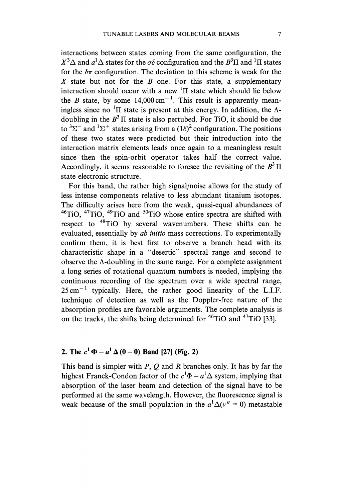interactions between states coming from the same configuration, the  $X^3\Delta$  and  $a^1\Delta$  states for the  $\sigma\delta$  configuration and the  $B^3\Pi$  and <sup>1</sup>II states for the  $\delta\pi$  configuration. The deviation to this scheme is weak for the X state but not for the  $B$  one. For this state, a supplementary interaction should occur with a new  ${}^{1}\Pi$  state which should lie below the B state, by some  $14,000 \text{ cm}^{-1}$ . This result is apparently meaningless since no <sup>1</sup> $\Pi$  state is present at this energy. In addition, the  $\Lambda$ doubling in the  $B<sup>3</sup>$ II state is also pertubed. For TiO, it should be due to  ${}^{3}\Sigma^{-}$  and  ${}^{1}\Sigma^{+}$  states arising from a (1 $\delta$ )<sup>2</sup> configuration. The positions of these two states were predicted but their introduction into the interaction matrix elements leads once again to a meaningless result since then the spin-orbit operator takes half the correct value. Accordingly, it seems reasonable to foresee the revisiting of the  $B<sup>3</sup>$ II state electronic structure.

For this band, the rather high signal/noise allows for the study of less intense components relative to less abundant titanium isotopes. The difficulty arises here from the weak, quasi-equal abundances of  $^{46}$ TiO,  $^{47}$ TiO,  $^{49}$ TiO and  $^{50}$ TiO whose entire spectra are shifted with respect to 48TIO by several wavenumbers. These shifts can be evaluated, essentially by ab initio mass corrections. To experimentally confirm them, it is best first to observe a branch head with its characteristic shape in a "desertic" spectral range and second to observe the  $\Lambda$ -doubling in the same range. For a complete assignment a long series of rotational quantum numbers is needed, implying the continuous recording of the spectrum over a wide spectral range,  $25 \text{ cm}^{-1}$  typically. Here, the rather good linearity of the L.I.F. technique of detection as well as the Doppler-free nature of the absorption profiles are favorable arguments. The complete analysis is on the tracks, the shifts being determined for 46TIO and 47TIO [33].

# 2. The  $c^1 \Phi - a^1 \Delta (0 - 0)$  Band [27] (Fig. 2)

This band is simpler with  $P$ ,  $Q$  and  $R$  branches only. It has by far the highest Franck-Condon factor of the  $c^1\Phi - a^1\Delta$  system, implying that absorption of the laser beam and detection of the signal have to be performed at the same wavelength. However, the fluorescence signal is weak because of the small population in the  $a^1\Delta(v'' = 0)$  metastable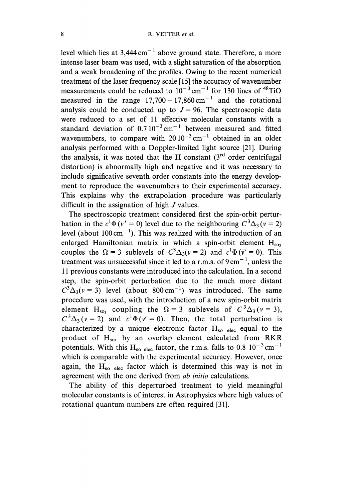level which lies at  $3,444 \text{ cm}^{-1}$  above ground state. Therefore, a more intense laser beam was used, with a slight saturation of the absorption and a weak broadening of the profiles. Owing to the recent numerical treatment of the laser frequency scale [15] the accuracy of wavenumber measurements could be reduced to  $10^{-3}$  cm<sup>-1</sup> for 130 lines of <sup>48</sup>TiO measured in the range  $17,700 - 17,860 \text{ cm}^{-1}$  and the rotational analysis could be conducted up to  $J = 96$ . The spectroscopic data were reduced to a set of 11 effective molecular constants with a standard deviation of  $0.7 10^{-3}$  cm<sup>-1</sup> between measured and fitted wavenumbers, to compare with  $20 10^{-3}$  cm<sup>-1</sup> obtained in an older analysis performed with a Doppler-limited light source [21]. During the analysis, it was noted that the H constant  $(3<sup>rd</sup>$  order centrifugal distortion) is abnormally high and negative and it was necessary to include significative seventh order constants into the energy development to reproduce the wavenumbers to their experimental accuracy. This explains why the extrapolation procedure was particularly difficult in the assignation of high J values.

The spectroscopic treatment considered first the spin-orbit perturbation in the  $c^1\Phi(v' = 0)$  level due to the neighbouring  $C^3\Delta_3 (v = 2)$ level (about  $100 \text{ cm}^{-1}$ ). This was realized with the introduction of an enlarged Hamiltonian matrix in which a spin-orbit element  $H_{\text{so}}$ . couples the  $\Omega = 3$  sublevels of  $C^3 \Delta_3(v = 2)$  and  $c^1 \Phi(v^* = 0)$ . This treatment was unsuccessful since it led to a r.m.s. of  $9 \text{ cm}^{-1}$ , unless the 11 previous constants were introduced into the calculation. In a second step, the spin-orbit perturbation due to the much more distant  $C^3\Delta_3(v=3)$  level (about 800 cm<sup>-1</sup>) was introduced. The same procedure was used, with the introduction of a new spin-orbit matrix element H<sub>so3</sub> coupling the  $\Omega = 3$  sublevels of  $C^3\Delta_3(v = 3)$ ,  $C^3\Delta_3(v=2)$  and  $c^1\Phi(v'=0)$ . Then, the total perturbation is characterized by a unique electronic factor  $H_{so}$  elec equal to the product of  $H_{so}$ , by an overlap element calculated from RKR potentials. With this H<sub>so elec</sub> factor, the r.m.s. falls to 0.8  $10^{-3}$  cm<sup>-1</sup> which is comparable with the experimental accuracy. However, once again, the  $H_{so}$  elec factor which is determined this way is not in agreement with the one derived from ab initio calculations.

The ability of this deperturbed treatment to yield meaningful molecular constants is of interest in Astrophysics where high values of rotational quantum numbers are often required [31].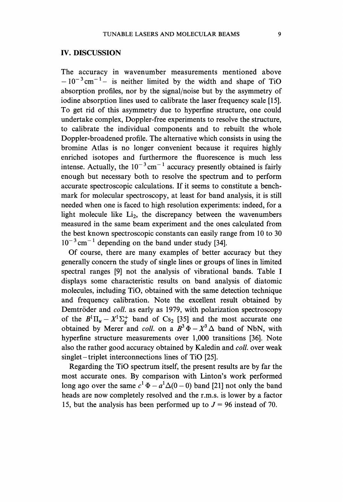### IV. DISCUSSION

The accuracy in wavenumber measurements mentioned above  $-10^{-3}$  cm<sup>-1</sup>- is neither limited by the width and shape of TiO absorption profiles, nor by the signal/noise but by the asymmetry of iodine absorption lines used to calibrate the laser frequency scale [15]. To get rid of this asymmetry due to hyperfine structure, one could undertake complex, Doppler-free experiments to resolve the structure, to calibrate the individual components and to rebuilt the whole Doppler-broadened profile. The alternative which consists in using the bromine Atlas is no longer convenient because it requires highly enriched isotopes and furthermore the fluorescence is much less intense. Actually, the  $10^{-3}$  cm<sup>-1</sup> accuracy presently obtained is fairly enough but necessary both to resolve the spectrum and to perform accurate spectroscopic calculations. If it seems to constitute a benchmark for molecular spectroscopy, at least for band analysis, it is still needed when one is faced to high resolution experiments: indeed, for a light molecule like  $Li<sub>2</sub>$ , the discrepancy between the wavenumbers measured in the same beam experiment and the ones calculated from the best known spectroscopic constants can easily range from 10 to 30  $10^{-3}$  cm<sup>-1</sup> depending on the band under study [34].

Of course, there are many examples of better accuracy but they generally concern the study of single lines or groups of lines in limited spectral ranges [9] not the analysis of vibrational bands. Table <sup>I</sup> displays some characteristic results on band analysis of diatomic molecules, including TiO, obtained with the same detection technique and frequency calibration. Note the excellent result obtained by Demtröder and *coll*. as early as 1979, with polarization spectroscopy of the  $B^1\Pi_u - X^1\Sigma_g^+$  band of Cs<sub>2</sub> [35] and the most accurate one obtained by Merer and *coll.* on a  $B^3\Phi - X^3\Delta$  band of NbN, with hyperfine structure measurements over 1,000 transitions [36]. Note also the rather good accuracy obtained by Kaledin and coll. over weak singlet-triplet interconnections lines of TiO [25].

Regarding the TiO spectrum itself, the present results are by far the most accurate ones. By comparison with Linton's work performed long ago over the same  $c^1 \Phi - a^1 \Delta(0 - 0)$  band [21] not only the band heads are now completely resolved and the r.m.s, is lower by a factor 15, but the analysis has been performed up to  $J = 96$  instead of 70.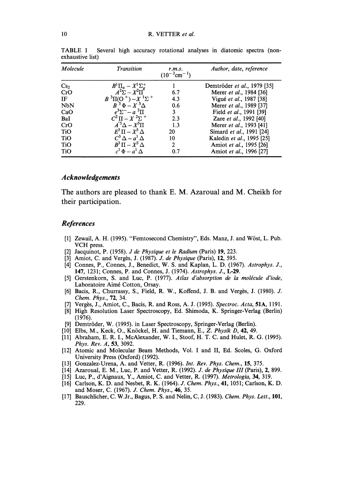| Molecule        | Transition                                         | r.m.s.<br>$(10^{-3}$ cm <sup>-1</sup> ) | Author, date, reference     |
|-----------------|----------------------------------------------------|-----------------------------------------|-----------------------------|
| Cs <sub>2</sub> | $B^1\Pi_u-X^1\Sigma_g^+$<br>$A^2\Sigma-X^2\Pi_g^+$ |                                         | Demtröder et al., 1979 [35] |
| CrO             |                                                    | 6.7                                     | Merer et al., 1984 [36]     |
| IF              | $B^{3}\Pi(O^{+})-X^{1}\Sigma^{+}$                  | 4.3                                     | Vigué et al., 1987 [38]     |
| <b>NbN</b>      | $B^3\Phi - X^3\Delta$                              | 0.6                                     | Merer et al., 1989 [37]     |
| CaO             | $e^3\Sigma^-\!-\!a^3\Pi$                           | 3                                       | Field et al., 1991 [39]     |
| BaI             | $C^2\Pi - X^2\Sigma$ <sup>+</sup>                  | 2.3                                     | Zare et al., 1992 [40]      |
| CrO             | $A^{5}\Delta - X^{5}\Pi$                           | 1.3                                     | Merer et al., 1993 [41]     |
| <b>TiO</b>      | $E^3\Pi - X^3\Delta$                               | 20                                      | Simard et al., 1991 [24]    |
| <b>TiO</b>      | $C^3 \Delta - a^1 \Delta$                          | 10                                      | Kaledin et al., 1995 [25]   |
| <b>TiO</b>      | $B^3\Pi-X^3\Delta$                                 | $\mathbf{2}$                            | Amiot et al., 1995 [26]     |
| <b>TiO</b>      | $c^1 \Phi - a^1 \Delta$                            | 0.7                                     | Amiot et al., 1996 [27]     |
|                 |                                                    |                                         |                             |

TABLE I Several high accuracy rotational analyses in diatomic spectra (nonexhaustive list)

#### Acknowledgements

The authors are pleased to thank E. M. Azaroual and M. Cheikh for their participation.

#### References

- [1] Zewail, A. H. (1995). "Femtosecond Chemistry", Eds. Manz, J. and Wöst, L. Pub. VCH press.
- [2] Jacquinot, P. (1958). J de Physique et le Radium (Paris) 19, 223.
- [3] Amiot, C. and Vergès, J. (1987). J. de Physique (Paris), 12, 595.
- [4] Connes, P., Connes, J., Benedict, W. S. and Kaplan, L. D. (1967). Astrophys. J., 147, 1231; Connes, P. and Connes, J. (1974). Astrophys. J., L-29.
- [5] Gerstenkorn, S. and Luc, P. (1977). Atlas d'absorption de la molécule d'iode, Laboratoire Aimé Cotton, Orsay.
- [6] Bacis, R., Churrassy, S., Field, R. W., Koffend, J. B. and Vergès, J. (1980). J. Chem. Phys., 72, 34.
- [7] Vergès, J., Amiot, C., Bacis, R. and Ross, A. J. (1995). Spectroc. Acta, 51A, 1191.
- [8] High Resolution Laser Spectroscopy, Ed. Shimoda, K. Springer-Verlag (Berlin) (1976).
- [9] Demtröder, W. (1995). in Laser Spectroscopy, Springer-Verlag (Berlin).
- [10] Elbs, M., Keck, O., Knöckel, H. and Tiemann, E., Z. Physik D, 42, 49.
- [11] Abraham, E. R. I., McAlexander, W. I., Stoof, H. T. C. and Hulet, R. G. (1995). Phys. Rev. A, 53, 3092.
- [12] Atomic and Molecular Beam Methods, Vol. I and II, Ed. Scoles, G. Oxford University Press (Oxford) (1992).
- [13] Gonzalez-Urena, A. and Vetter, R. (1996). Int. Rev. Phys. Chem., 15, 375.
- [14] Azaroual, E. M., Luc, P. and Vetter, R. (1992). J. de Physique III (Paris), 2, 899.
- [15] Luc, P., d'Aignaux, Y., Amiot, C. and Vetter, R. (1997). Metrologia, 34, 319.
- [16] Carlson, K. D. and Nesbet, R. K. (1964). J. Chem. Phys., 41, 1051; Carlson, K. D. and Moser, C. (1967). J. Chem. Phys., 46, 35.
- [17] Bauschlicher, C. W.Jr., Bagus, P. S. and Nelin, C. J. (1983). Chem. Phys. Lett., 101, 229.